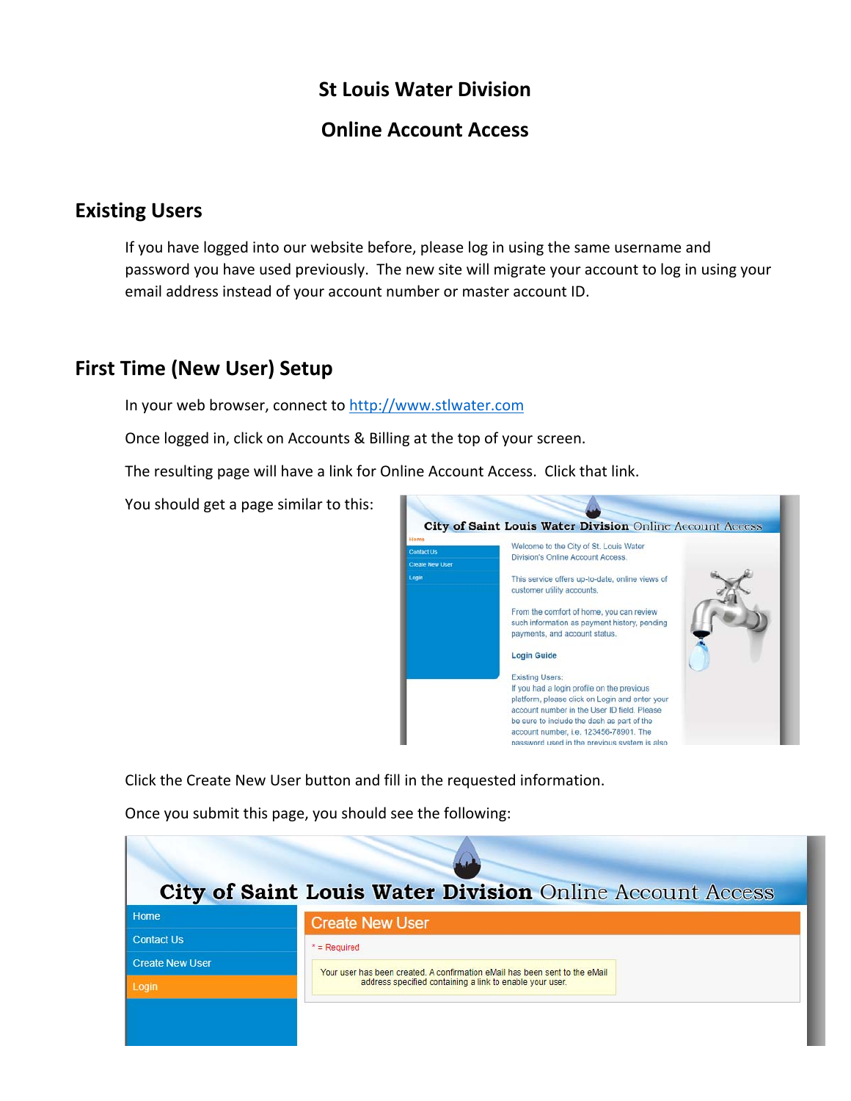## **St Louis Water Division**

## **Online Account Access**

## **Existing Users**

If you have logged into our website before, please log in using the same username and password you have used previously. The new site will migrate your account to log in using your email address instead of your account number or master account ID.

## **First Time (New User) Setup**

In your web browser, connect to http://www.stlwater.com

Once logged in, click on Accounts & Billing at the top of your screen.

The resulting page will have a link for Online Account Access. Click that link.

You should get a page similar to this:



Click the Create New User button and fill in the requested information.

Once you submit this page, you should see the following:

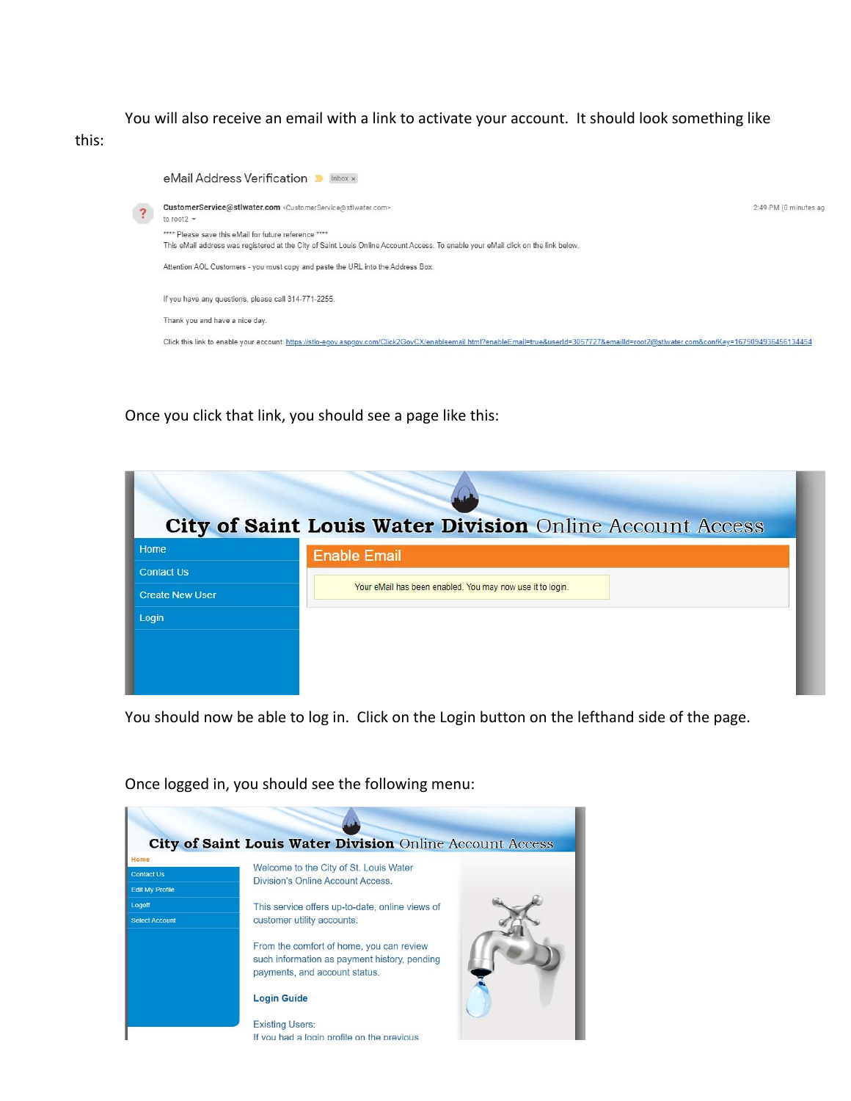You will also receive an email with a link to activate your account. It should look something like



Once you click that link, you should see a page like this:

| City of Saint Louis Water Division Online Account Access |                                                           |  |  |
|----------------------------------------------------------|-----------------------------------------------------------|--|--|
| Home                                                     | <b>Enable Email</b>                                       |  |  |
| <b>Contact Us</b>                                        |                                                           |  |  |
| <b>Create New User</b>                                   | Your eMail has been enabled. You may now use it to login. |  |  |
| Login                                                    |                                                           |  |  |
|                                                          |                                                           |  |  |
|                                                          |                                                           |  |  |
|                                                          |                                                           |  |  |

You should now be able to log in. Click on the Login button on the lefthand side of the page.

| Home                   |                                                                                                                           |
|------------------------|---------------------------------------------------------------------------------------------------------------------------|
| <b>Contact Us</b>      | Welcome to the City of St. Louis Water<br>Division's Online Account Access.                                               |
| <b>Edit My Profile</b> |                                                                                                                           |
| Logoff                 | This service offers up-to-date, online views of                                                                           |
| <b>Select Account</b>  | customer utility accounts.                                                                                                |
|                        | From the comfort of home, you can review<br>such information as payment history, pending<br>payments, and account status. |
|                        | <b>Login Guide</b>                                                                                                        |
|                        | <b>Existing Users:</b>                                                                                                    |
|                        | If you had a login profile on the previous                                                                                |

Once logged in, you should see the following menu: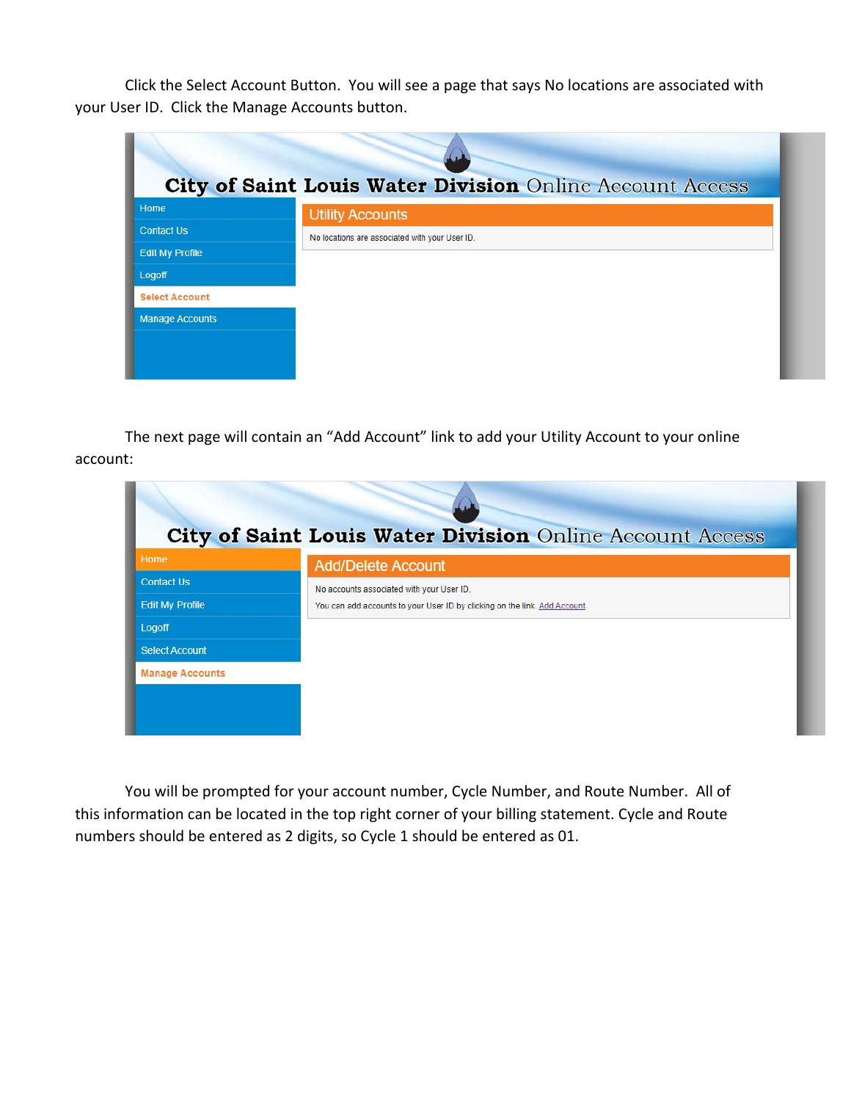Click the Select Account Button. You will see a page that says No locations are associated with your User ID. Click the Manage Accounts button.

|                        | City of Saint Louis Water Division Online Account Access |
|------------------------|----------------------------------------------------------|
| Home                   | <b>Utility Accounts</b>                                  |
| <b>Contact Us</b>      | No locations are associated with your User ID.           |
| <b>Edit My Profile</b> |                                                          |
| Logoff                 |                                                          |
| <b>Select Account</b>  |                                                          |
| <b>Manage Accounts</b> |                                                          |
|                        |                                                          |
|                        |                                                          |
|                        |                                                          |

The next page will contain an "Add Account" link to add your Utility Account to your online account:

| Home                   | <b>Add/Delete Account</b>                                                 |
|------------------------|---------------------------------------------------------------------------|
| <b>Contact Us</b>      | No accounts associated with your User ID.                                 |
| <b>Edit My Profile</b> | You can add accounts to your User ID by clicking on the link. Add Account |
| Logoff                 |                                                                           |
| <b>Select Account</b>  |                                                                           |
| <b>Manage Accounts</b> |                                                                           |

You will be prompted for your account number, Cycle Number, and Route Number. All of this information can be located in the top right corner of your billing statement. Cycle and Route numbers should be entered as 2 digits, so Cycle 1 should be entered as 01.